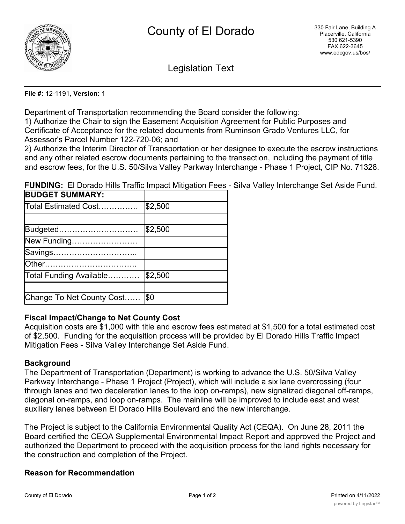

Legislation Text

#### **File #:** 12-1191, **Version:** 1

Department of Transportation recommending the Board consider the following:

1) Authorize the Chair to sign the Easement Acquisition Agreement for Public Purposes and Certificate of Acceptance for the related documents from Ruminson Grado Ventures LLC, for Assessor's Parcel Number 122-720-06; and

2) Authorize the Interim Director of Transportation or her designee to execute the escrow instructions and any other related escrow documents pertaining to the transaction, including the payment of title and escrow fees, for the U.S. 50/Silva Valley Parkway Interchange - Phase 1 Project, CIP No. 71328.

**FUNDING:** El Dorado Hills Traffic Impact Mitigation Fees - Silva Valley Interchange Set Aside Fund.

| <b>BUDGET SUMMARY:</b>    |         |
|---------------------------|---------|
| Total Estimated Cost      | \$2,500 |
|                           |         |
| Budgeted                  | \$2,500 |
| New Funding               |         |
| Savings                   |         |
|                           |         |
| Total Funding Available   | \$2,500 |
|                           |         |
| Change To Net County Cost | l\$0    |

### **Fiscal Impact/Change to Net County Cost**

Acquisition costs are \$1,000 with title and escrow fees estimated at \$1,500 for a total estimated cost of \$2,500. Funding for the acquisition process will be provided by El Dorado Hills Traffic Impact Mitigation Fees - Silva Valley Interchange Set Aside Fund.

### **Background**

The Department of Transportation (Department) is working to advance the U.S. 50/Silva Valley Parkway Interchange - Phase 1 Project (Project), which will include a six lane overcrossing (four through lanes and two deceleration lanes to the loop on-ramps), new signalized diagonal off-ramps, diagonal on-ramps, and loop on-ramps. The mainline will be improved to include east and west auxiliary lanes between El Dorado Hills Boulevard and the new interchange.

The Project is subject to the California Environmental Quality Act (CEQA). On June 28, 2011 the Board certified the CEQA Supplemental Environmental Impact Report and approved the Project and authorized the Department to proceed with the acquisition process for the land rights necessary for the construction and completion of the Project.

# **Reason for Recommendation**